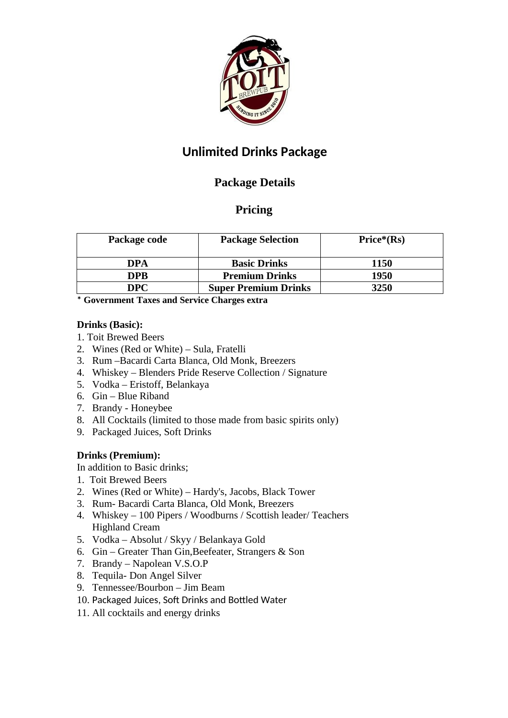

# **Unlimited Drinks Package**

## **Package Details**

## **Pricing**

| Package code | <b>Package Selection</b>    | Price*(Rs) |
|--------------|-----------------------------|------------|
| DPA          | <b>Basic Drinks</b>         | 1150       |
| DPB          | <b>Premium Drinks</b>       | 1950       |
| 7PC          | <b>Super Premium Drinks</b> | 3250       |

**\* Government Taxes and Service Charges extra**

#### **Drinks (Basic):**

- 1. Toit Brewed Beers
- 2. Wines (Red or White) Sula, Fratelli
- 3. Rum –Bacardi Carta Blanca, Old Monk, Breezers
- 4. Whiskey Blenders Pride Reserve Collection / Signature
- 5. Vodka Eristoff, Belankaya
- 6. Gin Blue Riband
- 7. Brandy Honeybee
- 8. All Cocktails (limited to those made from basic spirits only)
- 9. Packaged Juices, Soft Drinks

### **Drinks (Premium):**

In addition to Basic drinks;

- 1. Toit Brewed Beers
- 2. Wines (Red or White) Hardy's, Jacobs, Black Tower
- 3. Rum- Bacardi Carta Blanca, Old Monk, Breezers
- 4. Whiskey 100 Pipers / Woodburns / Scottish leader/ Teachers Highland Cream
- 5. Vodka Absolut / Skyy / Belankaya Gold
- 6. Gin Greater Than Gin,Beefeater, Strangers & Son
- 7. Brandy Napolean V.S.O.P
- 8. Tequila- Don Angel Silver
- 9. Tennessee/Bourbon Jim Beam
- 10. Packaged Juices, Soft Drinks and Bottled Water
- 11. All cocktails and energy drinks